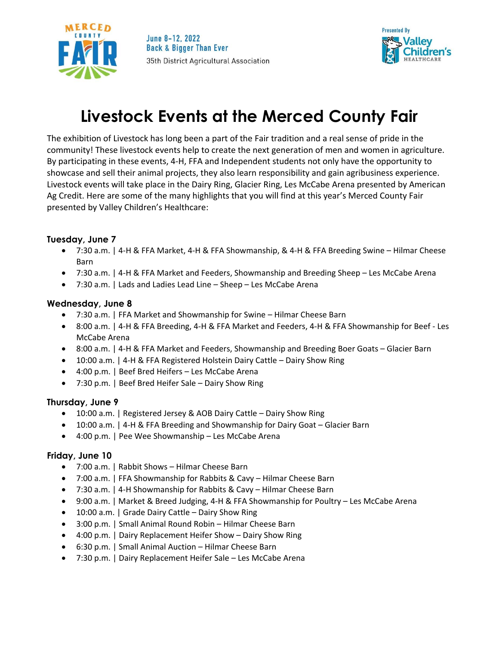



# **Livestock Events at the Merced County Fair**

The exhibition of Livestock has long been a part of the Fair tradition and a real sense of pride in the community! These livestock events help to create the next generation of men and women in agriculture. By participating in these events, 4-H, FFA and Independent students not only have the opportunity to showcase and sell their animal projects, they also learn responsibility and gain agribusiness experience. Livestock events will take place in the Dairy Ring, Glacier Ring, Les McCabe Arena presented by American Ag Credit. Here are some of the many highlights that you will find at this year's Merced County Fair presented by Valley Children's Healthcare:

### **Tuesday, June 7**

- 7:30 a.m. | 4-H & FFA Market, 4-H & FFA Showmanship, & 4-H & FFA Breeding Swine Hilmar Cheese Barn
- 7:30 a.m. | 4-H & FFA Market and Feeders, Showmanship and Breeding Sheep Les McCabe Arena
- 7:30 a.m. | Lads and Ladies Lead Line Sheep Les McCabe Arena

### **Wednesday, June 8**

- 7:30 a.m. | FFA Market and Showmanship for Swine Hilmar Cheese Barn
- 8:00 a.m. | 4-H & FFA Breeding, 4-H & FFA Market and Feeders, 4-H & FFA Showmanship for Beef Les McCabe Arena
- 8:00 a.m. | 4-H & FFA Market and Feeders, Showmanship and Breeding Boer Goats Glacier Barn
- 10:00 a.m. | 4-H & FFA Registered Holstein Dairy Cattle Dairy Show Ring
- 4:00 p.m. | Beef Bred Heifers Les McCabe Arena
- 7:30 p.m. | Beef Bred Heifer Sale Dairy Show Ring

## **Thursday, June 9**

- 10:00 a.m. | Registered Jersey & AOB Dairy Cattle Dairy Show Ring
- 10:00 a.m. | 4-H & FFA Breeding and Showmanship for Dairy Goat Glacier Barn
- 4:00 p.m. | Pee Wee Showmanship Les McCabe Arena

## **Friday, June 10**

- 7:00 a.m. | Rabbit Shows Hilmar Cheese Barn
- 7:00 a.m. | FFA Showmanship for Rabbits & Cavy Hilmar Cheese Barn
- 7:30 a.m. | 4-H Showmanship for Rabbits & Cavy Hilmar Cheese Barn
- 9:00 a.m. | Market & Breed Judging, 4-H & FFA Showmanship for Poultry Les McCabe Arena
- 10:00 a.m. | Grade Dairy Cattle Dairy Show Ring
- 3:00 p.m. | Small Animal Round Robin Hilmar Cheese Barn
- 4:00 p.m. | Dairy Replacement Heifer Show Dairy Show Ring
- 6:30 p.m. | Small Animal Auction Hilmar Cheese Barn
- 7:30 p.m. | Dairy Replacement Heifer Sale Les McCabe Arena